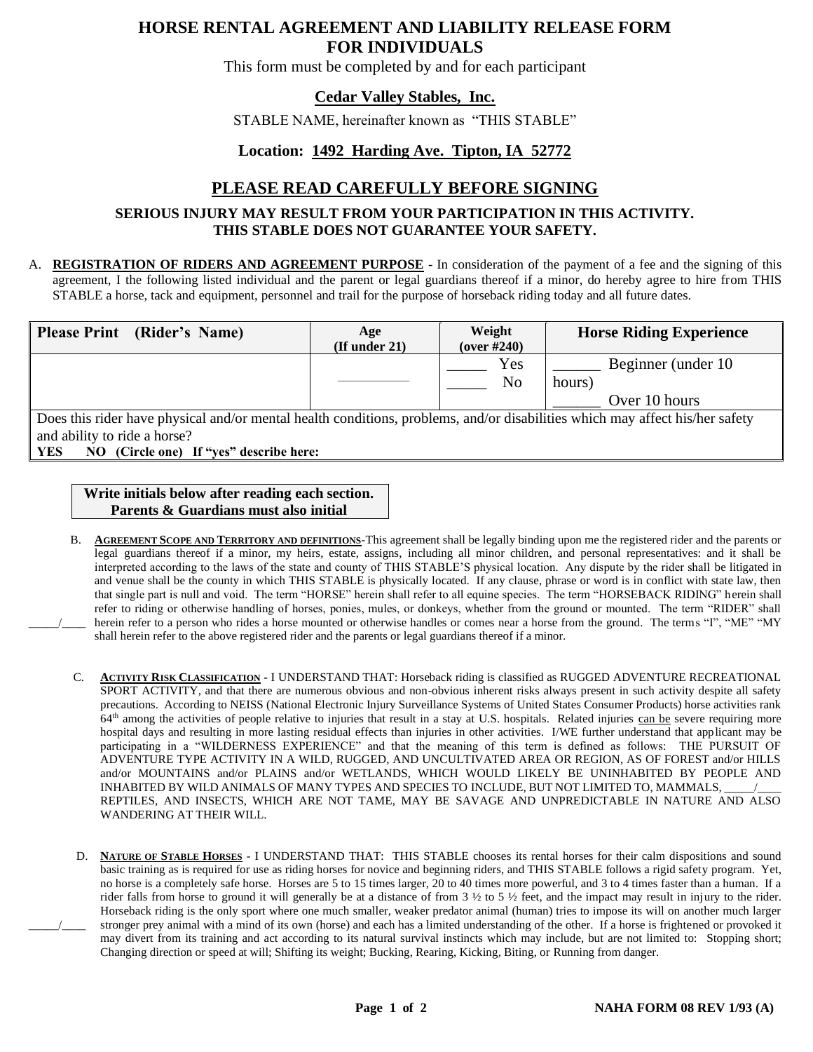# **HORSE RENTAL AGREEMENT AND LIABILITY RELEASE FORM FOR INDIVIDUALS**

This form must be completed by and for each participant

### **Cedar Valley Stables, Inc.**

STABLE NAME, hereinafter known as "THIS STABLE"

#### **Location: 1492 Harding Ave. Tipton, IA 52772**

# **PLEASE READ CAREFULLY BEFORE SIGNING**

#### **SERIOUS INJURY MAY RESULT FROM YOUR PARTICIPATION IN THIS ACTIVITY. THIS STABLE DOES NOT GUARANTEE YOUR SAFETY.**

A. **REGISTRATION OF RIDERS AND AGREEMENT PURPOSE** - In consideration of the payment of a fee and the signing of this agreement, I the following listed individual and the parent or legal guardians thereof if a minor, do hereby agree to hire from THIS STABLE a horse, tack and equipment, personnel and trail for the purpose of horseback riding today and all future dates.

| <b>Please Print</b> (Rider's Name)                                                                                           | Age<br>$($ If under 21 $)$ | Weight<br>(over $#240$ ) | <b>Horse Riding Experience</b> |  |  |  |  |
|------------------------------------------------------------------------------------------------------------------------------|----------------------------|--------------------------|--------------------------------|--|--|--|--|
|                                                                                                                              |                            | Yes<br>No                | Beginner (under 10<br>hours)   |  |  |  |  |
|                                                                                                                              |                            |                          | Over 10 hours                  |  |  |  |  |
| Does this rider have physical and/or mental health conditions, problems, and/or disabilities which may affect his/her safety |                            |                          |                                |  |  |  |  |

and ability to ride a horse?

**YES NO (Circle one) If "yes" describe here:**

**Write initials below after reading each section. Parents & Guardians must also initial**

- B. **AGREEMENT SCOPE AND TERRITORY AND DEFINITIONS**-This agreement shall be legally binding upon me the registered rider and the parents or legal guardians thereof if a minor, my heirs, estate, assigns, including all minor children, and personal representatives: and it shall be interpreted according to the laws of the state and county of THIS STABLE'S physical location. Any dispute by the rider shall be litigated in and venue shall be the county in which THIS STABLE is physically located. If any clause, phrase or word is in conflict with state law, then that single part is null and void. The term "HORSE" herein shall refer to all equine species. The term "HORSEBACK RIDING" herein shall refer to riding or otherwise handling of horses, ponies, mules, or donkeys, whether from the ground or mounted. The term "RIDER" shall herein refer to a person who rides a horse mounted or otherwise handles or comes near a horse from the ground. The terms "I", "ME" "MY shall herein refer to the above registered rider and the parents or legal guardians thereof if a minor.
- C. **ACTIVITY RISK CLASSIFICATION** I UNDERSTAND THAT: Horseback riding is classified as RUGGED ADVENTURE RECREATIONAL SPORT ACTIVITY, and that there are numerous obvious and non-obvious inherent risks always present in such activity despite all safety precautions. According to NEISS (National Electronic Injury Surveillance Systems of United States Consumer Products) horse activities rank  $64<sup>th</sup>$  among the activities of people relative to injuries that result in a stay at U.S. hospitals. Related injuries can be severe requiring more hospital days and resulting in more lasting residual effects than injuries in other activities. I/WE further understand that applicant may be participating in a "WILDERNESS EXPERIENCE" and that the meaning of this term is defined as follows: THE PURSUIT OF ADVENTURE TYPE ACTIVITY IN A WILD, RUGGED, AND UNCULTIVATED AREA OR REGION, AS OF FOREST and/or HILLS and/or MOUNTAINS and/or PLAINS and/or WETLANDS, WHICH WOULD LIKELY BE UNINHABITED BY PEOPLE AND INHABITED BY WILD ANIMALS OF MANY TYPES AND SPECIES TO INCLUDE, BUT NOT LIMITED TO, MAMMALS, REPTILES, AND INSECTS, WHICH ARE NOT TAME, MAY BE SAVAGE AND UNPREDICTABLE IN NATURE AND ALSO WANDERING AT THEIR WILL.
- D. **NATURE OF STABLE HORSES** I UNDERSTAND THAT: THIS STABLE chooses its rental horses for their calm dispositions and sound basic training as is required for use as riding horses for novice and beginning riders, and THIS STABLE follows a rigid safety program. Yet, no horse is a completely safe horse. Horses are 5 to 15 times larger, 20 to 40 times more powerful, and 3 to 4 times faster than a human. If a rider falls from horse to ground it will generally be at a distance of from 3 ½ to 5 ½ feet, and the impact may result in injury to the rider. Horseback riding is the only sport where one much smaller, weaker predator animal (human) tries to impose its will on another much larger \_\_\_\_\_/\_\_\_\_ stronger prey animal with a mind of its own (horse) and each has a limited understanding of the other. If a horse is frightened or provoked it may divert from its training and act according to its natural survival instincts which may include, but are not limited to: Stopping short; Changing direction or speed at will; Shifting its weight; Bucking, Rearing, Kicking, Biting, or Running from danger.